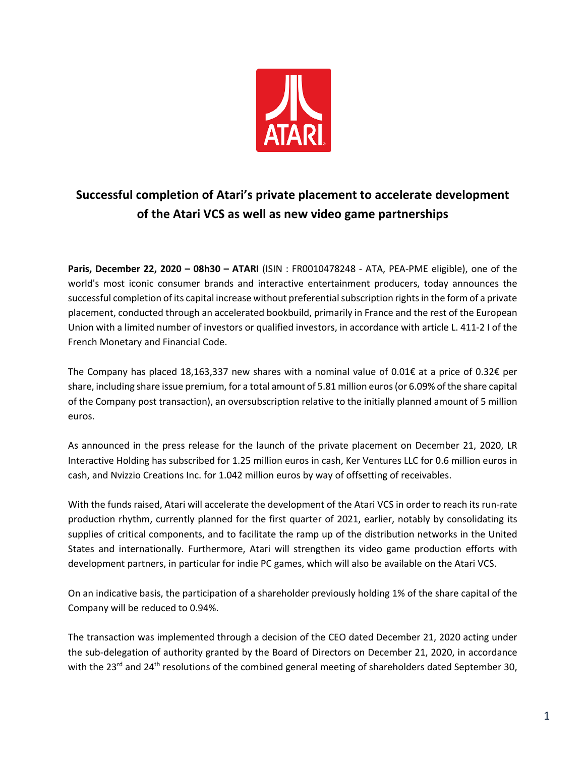

## **Successful completion of Atari's private placement to accelerate development of the Atari VCS as well as new video game partnerships**

**Paris, December 22, 2020 – 08h30 – ATARI** (ISIN : FR0010478248 - ATA, PEA-PME eligible), one of the world's most iconic consumer brands and interactive entertainment producers, today announces the successful completion of its capital increase without preferential subscription rights in the form of a private placement, conducted through an accelerated bookbuild, primarily in France and the rest of the European Union with a limited number of investors or qualified investors, in accordance with article L. 411-2 I of the French Monetary and Financial Code.

The Company has placed 18,163,337 new shares with a nominal value of 0.01€ at a price of 0.32€ per share, including share issue premium, for a total amount of 5.81 million euros (or 6.09% of the share capital of the Company post transaction), an oversubscription relative to the initially planned amount of 5 million euros.

As announced in the press release for the launch of the private placement on December 21, 2020, LR Interactive Holding has subscribed for 1.25 million euros in cash, Ker Ventures LLC for 0.6 million euros in cash, and Nvizzio Creations Inc. for 1.042 million euros by way of offsetting of receivables.

With the funds raised, Atari will accelerate the development of the Atari VCS in order to reach its run-rate production rhythm, currently planned for the first quarter of 2021, earlier, notably by consolidating its supplies of critical components, and to facilitate the ramp up of the distribution networks in the United States and internationally. Furthermore, Atari will strengthen its video game production efforts with development partners, in particular for indie PC games, which will also be available on the Atari VCS.

On an indicative basis, the participation of a shareholder previously holding 1% of the share capital of the Company will be reduced to 0.94%.

The transaction was implemented through a decision of the CEO dated December 21, 2020 acting under the sub-delegation of authority granted by the Board of Directors on December 21, 2020, in accordance with the 23<sup>rd</sup> and 24<sup>th</sup> resolutions of the combined general meeting of shareholders dated September 30,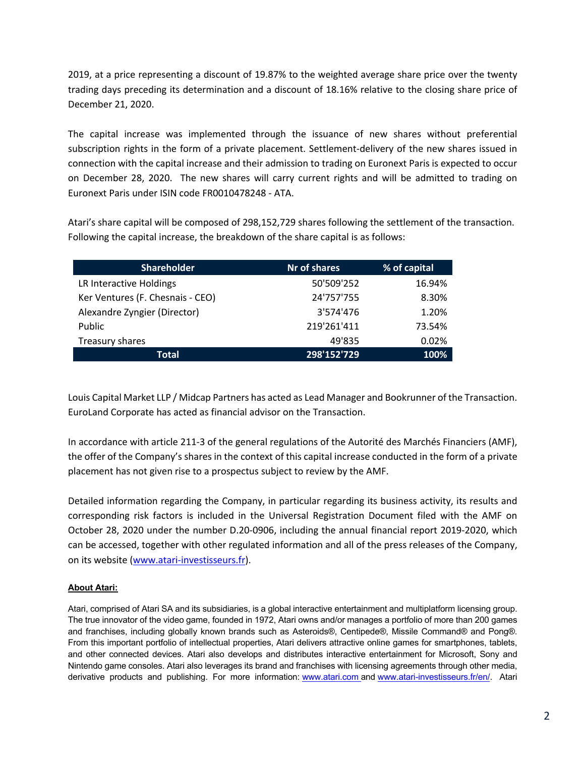2019, at a price representing a discount of 19.87% to the weighted average share price over the twenty trading days preceding its determination and a discount of 18.16% relative to the closing share price of December 21, 2020.

The capital increase was implemented through the issuance of new shares without preferential subscription rights in the form of a private placement. Settlement-delivery of the new shares issued in connection with the capital increase and their admission to trading on Euronext Paris is expected to occur on December 28, 2020. The new shares will carry current rights and will be admitted to trading on Euronext Paris under ISIN code FR0010478248 - ATA.

Atari's share capital will be composed of 298,152,729 shares following the settlement of the transaction. Following the capital increase, the breakdown of the share capital is as follows:

| <b>Shareholder</b>               | Nr of shares | % of capital |
|----------------------------------|--------------|--------------|
| LR Interactive Holdings          | 50'509'252   | 16.94%       |
| Ker Ventures (F. Chesnais - CEO) | 24'757'755   | 8.30%        |
| Alexandre Zyngier (Director)     | 3'574'476    | 1.20%        |
| Public                           | 219'261'411  | 73.54%       |
| Treasury shares                  | 49'835       | 0.02%        |
| Total                            | 298'152'729  | 100%         |

Louis Capital Market LLP / Midcap Partners has acted as Lead Manager and Bookrunner of the Transaction. EuroLand Corporate has acted as financial advisor on the Transaction.

In accordance with article 211-3 of the general regulations of the Autorité des Marchés Financiers (AMF), the offer of the Company's shares in the context of this capital increase conducted in the form of a private placement has not given rise to a prospectus subject to review by the AMF.

Detailed information regarding the Company, in particular regarding its business activity, its results and corresponding risk factors is included in the Universal Registration Document filed with the AMF on October 28, 2020 under the number D.20-0906, including the annual financial report 2019-2020, which can be accessed, together with other regulated information and all of the press releases of the Company, on its website (www.atari-investisseurs.fr).

## **About Atari:**

Atari, comprised of Atari SA and its subsidiaries, is a global interactive entertainment and multiplatform licensing group. The true innovator of the video game, founded in 1972, Atari owns and/or manages a portfolio of more than 200 games and franchises, including globally known brands such as Asteroids®, Centipede®, Missile Command® and Pong®. From this important portfolio of intellectual properties, Atari delivers attractive online games for smartphones, tablets, and other connected devices. Atari also develops and distributes interactive entertainment for Microsoft, Sony and Nintendo game consoles. Atari also leverages its brand and franchises with licensing agreements through other media, derivative products and publishing. For more information: www.atari.com and www.atari-investisseurs.fr/en/. Atari